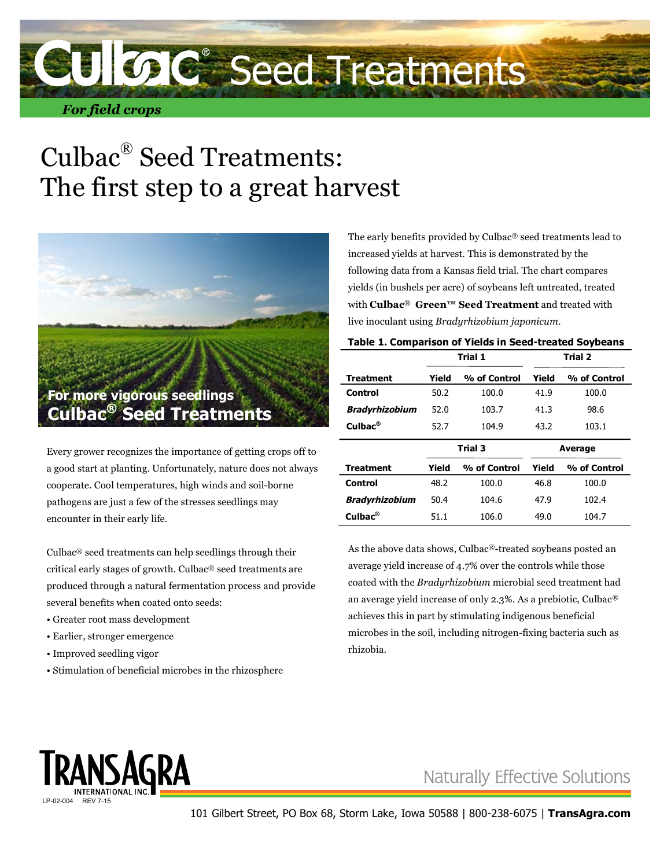

## Culbac® Seed Treatments: The first step to a great harvest



Every grower recognizes the importance of getting crops off to a good start at planting. Unfortunately, nature does not always cooperate. Cool temperatures, high winds and soil-borne pathogens are just a few of the stresses seedlings may encounter in their early life.

Culbac® seed treatments can help seedlings through their critical early stages of growth. Culbac® seed treatments are produced through a natural fermentation process and provide several benefits when coated onto seeds:

- Greater root mass development
- Earlier, stronger emergence
- Improved seedling vigor
- Stimulation of beneficial microbes in the rhizosphere

The early benefits provided by Culbac® seed treatments lead to increased yields at harvest. This is demonstrated by the following data from a Kansas field trial. The chart compares yields (in bushels per acre) of soybeans left untreated, treated with **Culbac® Green™ Seed Treatment** and treated with live inoculant using *Bradyrhizobium japonicum*.

| Table 1. Comparison of Yields in Seed-treated Soybeans |         |              |         |              |  |  |
|--------------------------------------------------------|---------|--------------|---------|--------------|--|--|
|                                                        | Trial 1 |              | Trial 2 |              |  |  |
| Treatment                                              | Yield   | % of Control | Yield   | % of Control |  |  |
| Control                                                | 50.2    | 100.0        | 41.9    | 100.0        |  |  |
| <b>Bradyrhizobium</b>                                  | 52.0    | 103.7        | 41.3    | 98.6         |  |  |
| $C$ ulba $c^{\otimes}$                                 | 52.7    | 104.9        | 43.2    | 103.1        |  |  |
|                                                        | Trial 3 |              | Average |              |  |  |
| Treatment                                              | Yield   | % of Control | Yield   | % of Control |  |  |
| Control                                                | 48.2    | 100.0        | 46.8    | 100.0        |  |  |
| <b>Bradyrhizobium</b>                                  | 50.4    | 104.6        | 47.9    | 102.4        |  |  |
| $Culbac^@$                                             | 51.1    | 106.0        | 49.0    | 104.7        |  |  |

As the above data shows, Culbac®-treated soybeans posted an average yield increase of 4.7% over the controls while those coated with the *Bradyrhizobium* microbial seed treatment had an average yield increase of only 2.3%. As a prebiotic, Culbac® achieves this in part by stimulating indigenous beneficial microbes in the soil, including nitrogen-fixing bacteria such as rhizobia.



### **Naturally Effective Solutions**